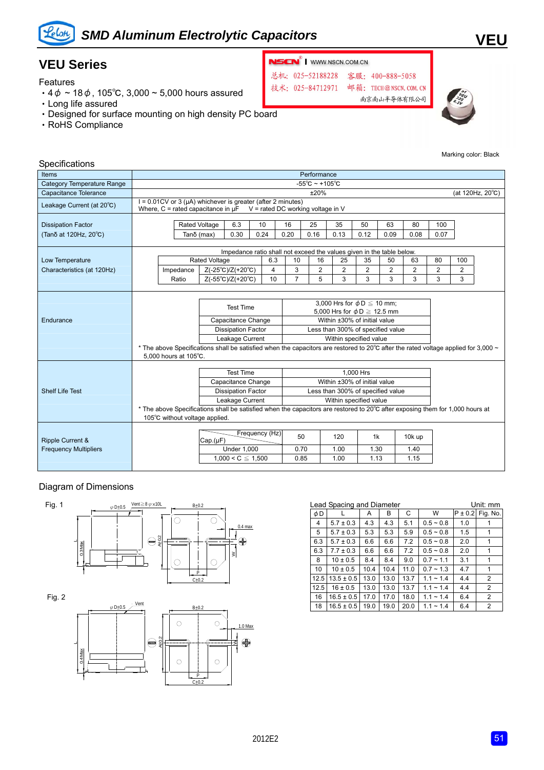

# *SMD Aluminum Electrolytic Capacitors*

### **VEU Series**

Features

- $4\phi \sim 18\phi$ , 105°C, 3,000 ~ 5,000 hours assured
- ‧Long life assured
- ‧Designed for surface mounting on high density PC board
- ‧RoHS Compliance



总机: 025-52188228 客服: 400-888-5058 技术: 025-84712971

邮箱: TECH@NSCN. COM. CN

南京南山半导体有限公司



Marking color: Black

**VEU**

| Specifications                                              |                                                                                                                          |                                                                                                                                                   |                                   |                                                                                        |                                                                                                                                                                                                                                           |                    |                                                                                                                                                                                                                                                                                                                                    |                     |                    |                |                        |                |                  |  |
|-------------------------------------------------------------|--------------------------------------------------------------------------------------------------------------------------|---------------------------------------------------------------------------------------------------------------------------------------------------|-----------------------------------|----------------------------------------------------------------------------------------|-------------------------------------------------------------------------------------------------------------------------------------------------------------------------------------------------------------------------------------------|--------------------|------------------------------------------------------------------------------------------------------------------------------------------------------------------------------------------------------------------------------------------------------------------------------------------------------------------------------------|---------------------|--------------------|----------------|------------------------|----------------|------------------|--|
| Items                                                       | Performance                                                                                                              |                                                                                                                                                   |                                   |                                                                                        |                                                                                                                                                                                                                                           |                    |                                                                                                                                                                                                                                                                                                                                    |                     |                    |                |                        |                |                  |  |
| <b>Category Temperature Range</b>                           | $-55^{\circ}$ C ~ +105 $^{\circ}$ C                                                                                      |                                                                                                                                                   |                                   |                                                                                        |                                                                                                                                                                                                                                           |                    |                                                                                                                                                                                                                                                                                                                                    |                     |                    |                |                        |                |                  |  |
| Capacitance Tolerance                                       |                                                                                                                          | ±20%                                                                                                                                              |                                   |                                                                                        |                                                                                                                                                                                                                                           |                    |                                                                                                                                                                                                                                                                                                                                    |                     |                    |                |                        |                | (at 120Hz, 20°C) |  |
| Leakage Current (at 20°C)                                   |                                                                                                                          | $I = 0.01$ CV or 3 ( $\mu$ A) whichever is greater (after 2 minutes)<br>Where, C = rated capacitance in $\mu$ F V = rated DC working voltage in V |                                   |                                                                                        |                                                                                                                                                                                                                                           |                    |                                                                                                                                                                                                                                                                                                                                    |                     |                    |                |                        |                |                  |  |
| <b>Dissipation Factor</b>                                   |                                                                                                                          |                                                                                                                                                   | 6.3<br><b>Rated Voltage</b>       |                                                                                        | 10                                                                                                                                                                                                                                        | 16                 | 25                                                                                                                                                                                                                                                                                                                                 | 35                  | 50                 | 63             | 80                     | 100            |                  |  |
| (Tanδ at 120Hz, 20°C)                                       |                                                                                                                          |                                                                                                                                                   | 0.30<br>0.24<br>Tanδ (max)        |                                                                                        | 0.20                                                                                                                                                                                                                                      | 0.16<br>0.13       |                                                                                                                                                                                                                                                                                                                                    | 0.12<br>0.09        |                    | 0.08           | 0.07                   |                |                  |  |
|                                                             | Impedance ratio shall not exceed the values given in the table below.                                                    |                                                                                                                                                   |                                   |                                                                                        |                                                                                                                                                                                                                                           |                    |                                                                                                                                                                                                                                                                                                                                    |                     |                    |                |                        |                |                  |  |
| Low Temperature                                             |                                                                                                                          |                                                                                                                                                   | <b>Rated Voltage</b>              |                                                                                        | 6.3                                                                                                                                                                                                                                       | 10                 | 16                                                                                                                                                                                                                                                                                                                                 | 25                  | 35                 | 50             | 63                     | 80             | 100              |  |
| Characteristics (at 120Hz)                                  |                                                                                                                          | Impedance                                                                                                                                         |                                   | $Z(-25^{\circ}C)/Z(+20^{\circ}C)$                                                      | 4                                                                                                                                                                                                                                         | 3                  | $\overline{2}$                                                                                                                                                                                                                                                                                                                     | $\overline{2}$      | $\overline{2}$     | $\overline{2}$ | $\overline{2}$         | $\overline{2}$ | $\overline{2}$   |  |
|                                                             |                                                                                                                          | Ratio                                                                                                                                             | $Z(-55^{\circ}C)/Z(+20^{\circ}C)$ |                                                                                        | 10                                                                                                                                                                                                                                        | $\overline{7}$     | 5                                                                                                                                                                                                                                                                                                                                  | 3                   | 3                  | 3              | 3                      | 3              | 3                |  |
| Endurance                                                   |                                                                                                                          | 5.000 hours at 105°C.                                                                                                                             |                                   | <b>Test Time</b><br>Capacitance Change<br><b>Dissipation Factor</b><br>Leakage Current |                                                                                                                                                                                                                                           |                    | 3,000 Hrs for $\phi$ D $\leq$ 10 mm;<br>5,000 Hrs for $\phi$ D $\geq$ 12.5 mm<br>Within ±30% of initial value<br>Less than 300% of specified value<br>Within specified value<br>* The above Specifications shall be satisfied when the capacitors are restored to 20 $^{\circ}$ C after the rated voltage applied for 3,000 $\sim$ |                     |                    |                |                        |                |                  |  |
| <b>Shelf Life Test</b>                                      | <b>Test Time</b><br>Capacitance Change<br><b>Dissipation Factor</b><br>Leakage Current<br>105°C without voltage applied. |                                                                                                                                                   |                                   |                                                                                        | 1.000 Hrs<br>Within ±30% of initial value<br>Less than 300% of specified value<br>Within specified value<br>* The above Specifications shall be satisfied when the capacitors are restored to 20°C after exposing them for 1,000 hours at |                    |                                                                                                                                                                                                                                                                                                                                    |                     |                    |                |                        |                |                  |  |
| <b>Ripple Current &amp;</b><br><b>Frequency Multipliers</b> |                                                                                                                          |                                                                                                                                                   | Cap.(µF)                          | <b>Under 1,000</b><br>$1,000 < C \leq 1,500$                                           | Frequency (Hz)                                                                                                                                                                                                                            | 50<br>0.70<br>0.85 |                                                                                                                                                                                                                                                                                                                                    | 120<br>1.00<br>1.00 | 1k<br>1.30<br>1.13 |                | 10k up<br>1.40<br>1.15 |                |                  |  |

#### Diagram of Dimensions



| $-0.000$ |                |      |      |      |                |     |                      |
|----------|----------------|------|------|------|----------------|-----|----------------------|
| φD       |                | A    | в    | C    | W              |     | $P \pm 0.2$ Fig. No. |
| 4        | $5.7 \pm 0.3$  | 4.3  | 4.3  | 5.1  | $0.5 - 0.8$    | 1.0 |                      |
| 5        | $5.7 \pm 0.3$  | 5.3  | 5.3  | 5.9  | $0.5 - 0.8$    | 1.5 | 1                    |
| 6.3      | $5.7 \pm 0.3$  | 6.6  | 6.6  | 7.2  | $0.5 - 0.8$    | 2.0 | 1                    |
| 6.3      | $7.7 \pm 0.3$  | 6.6  | 6.6  | 7.2  | $0.5 - 0.8$    | 2.0 | 1                    |
| 8        | $10 \pm 0.5$   | 8.4  | 8.4  | 9.0  | $0.7 - 1.1$    | 3.1 | 1                    |
| 10       | $10 \pm 0.5$   | 10.4 | 10.4 | 11.0 | $0.7 - 1.3$    | 4.7 | 1                    |
| 12.5     | $13.5 \pm 0.5$ | 13.0 | 13.0 | 13.7 | $1.1 - 1.4$    | 4.4 | $\overline{2}$       |
| 12.5     | $16 \pm 0.5$   | 13.0 | 13.0 | 13.7 | $1.1 \sim 1.4$ | 4.4 | $\overline{2}$       |
| 16       | $16.5 \pm 0.5$ | 17.0 | 17.0 | 18.0 | $1.1 - 1.4$    | 6.4 | $\overline{2}$       |
| 18       | $16.5 \pm 0.5$ | 19.0 | 19.0 | 20.0 | $1.1 \sim 1.4$ | 6.4 | 2                    |